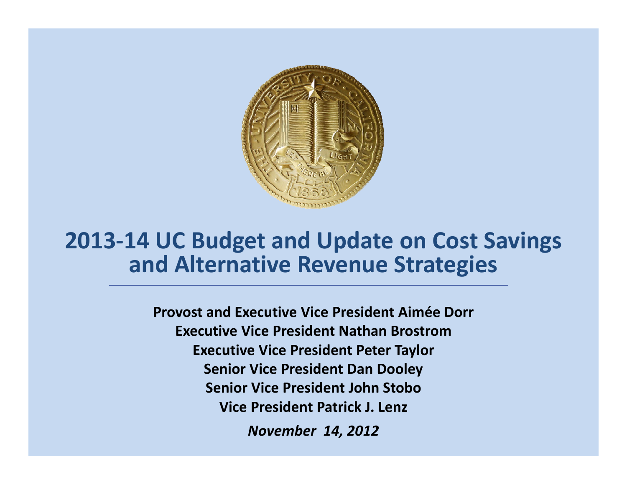

#### **2013‐14 UC Budget and Update on Cost Savings a dn Alte at <sup>e</sup> rn iv Re <sup>e</sup> ue <sup>v</sup> <sup>n</sup> St ateg es rategies**

**Provost and Executive Vice President Aimée Dorr Executive Vice President Nathan BrostromExecutive Vice President Peter Taylor Senior Vice President Dan Dooley Senior Vice President John StoboVice President Patrick J. Lenz** *November 14, 2012*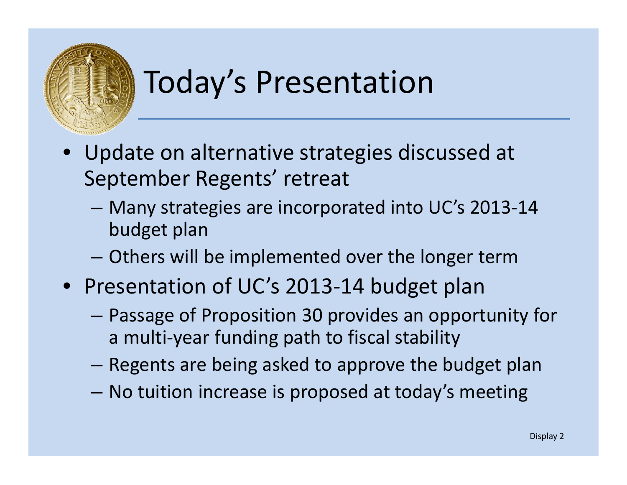

# Today's Presentation

- Update on alternative strategies discussed at September Regents' retreat
	- –– Many strategies are incorporated into UC's 2013-14 budget plan
	- –Others will be implemented over the longer term
- Presentation of UC's 2013‐14 budget plan
	- – Passage of Proposition 30 provides an opportunity for a multi-year funding path to fiscal stability
	- –Regents are being asked to approve the budget plan
	- –– No tuition increase is proposed at today's meeting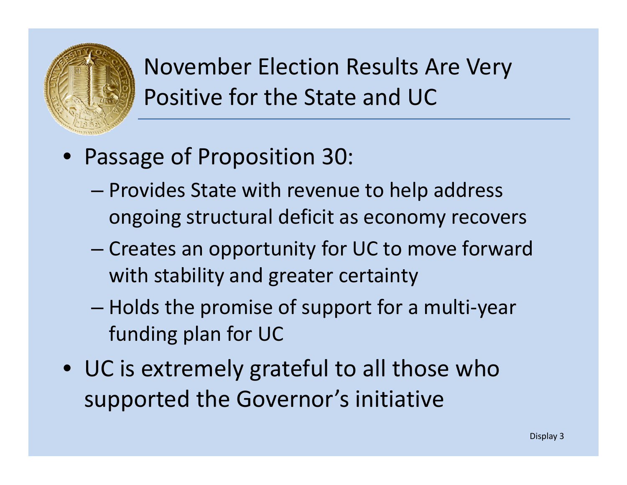

## November Election Results Are Very Positive for the State and UC

- Passage of Proposition 30:
	- – Provides State with revenue to help address ongoing structural deficit as economy recovers
	- – Creates an opportunity for UC to move forward with stability and greater certainty
	- – Holds the promise of support for <sup>a</sup> multi‐year funding plan for UC
- UC is extremely grateful to all those who supported the Governor's initiative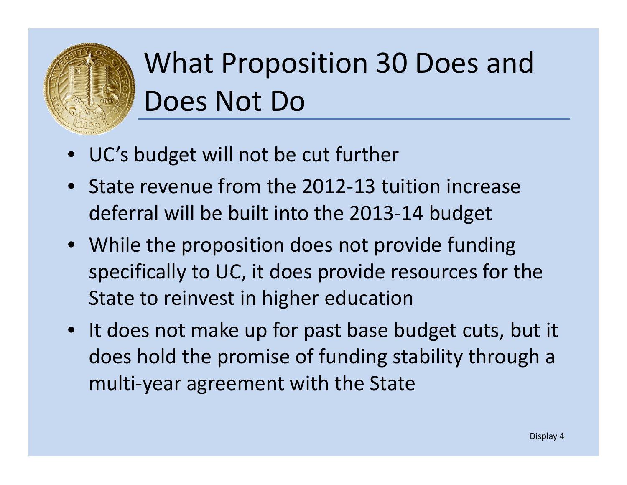

# What Proposition 30 Does and Does Not Do

- •• UC's budget will not be cut further
- State revenue from the 2012‐13 tuition increase deferral will be built into the 2013‐14 budget
- While the proposition does not provide funding specifically to UC, it does provide resources for the State to reinvest in higher education
- It does not make up for past base budget cuts, but it does hold the promise of funding stability through <sup>a</sup> multi‐year agreement with the State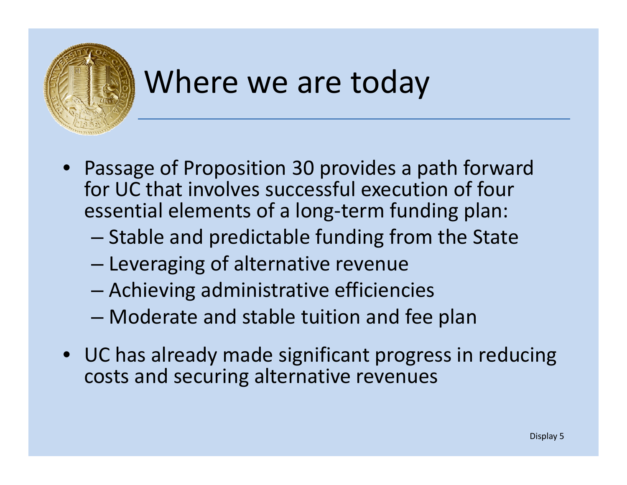

# Where we are today

- • Passage of Proposition 30 provides <sup>a</sup> path forward for UC that involves successful execution of four essential elements of <sup>a</sup> long‐term funding plan:
	- – $-$  Stable and predictable funding from the State
	- –– Leveraging of alternative revenue
	- –Achieving administrative efficiencies
	- Moderate and stable tuition and fee plan
- UC has already made significant progress in reducing costs and securing alternative revenues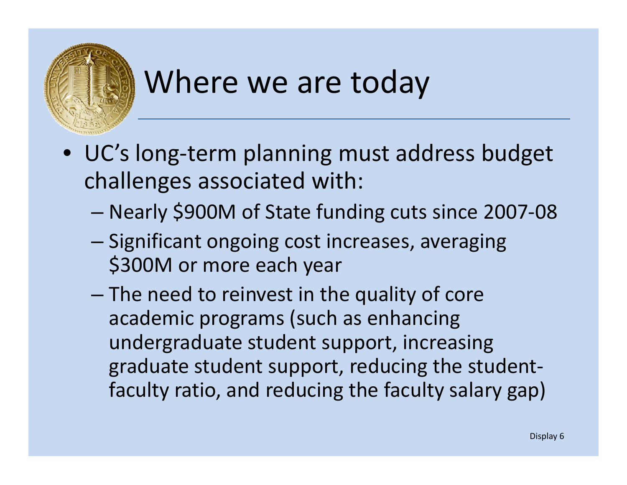

# Where we are today

- UC's long-term planning must address budget challenges associated with:
	- Nearly \$900M of State funding cuts since 2007‐08
	- –– Significant ongoing cost increases, averaging \$300M or more each year
	- $-$  The need to reinvest in the quality of core academic programs (such as enhancing undergraduate student support, increasing graduate student support, reducing the student‐ faculty ratio, and reducing the faculty salary gap)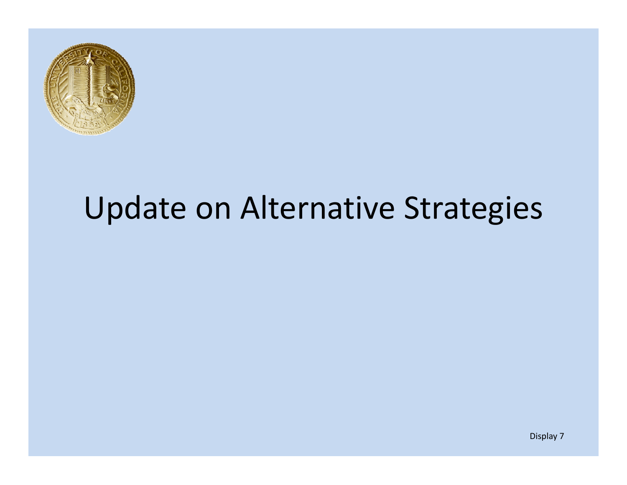

# Update on Alternative Strategies

Display 7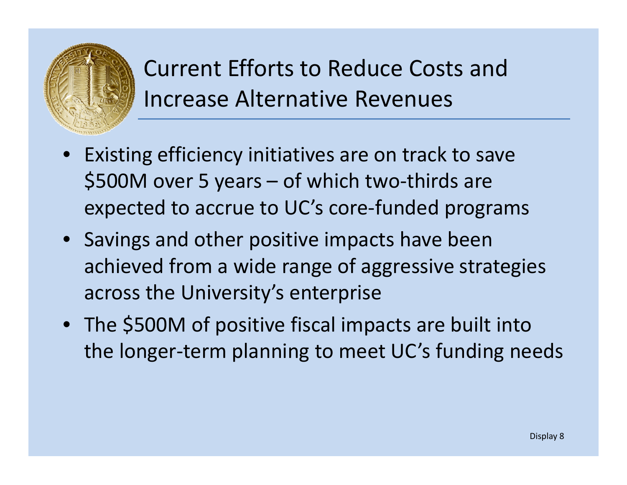

Current Efforts to Reduce Costs and Increase Alternative Revenues

- •• Existing efficiency initiatives are on track to save \$500M over <sup>5</sup> years – of which two‐thirds are expected to accrue to UC's core-funded programs
- Savings and other positive impacts have been achieved from <sup>a</sup> wide range of aggressive strategies across the University's enterprise
- The \$500M of positive fiscal impacts are built into the longer‐term planning to meet UC's funding needs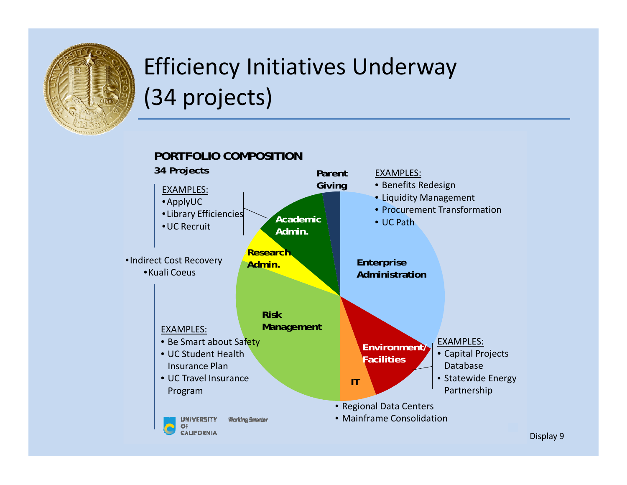

## Efficiency Initiatives Underway (34 projects)

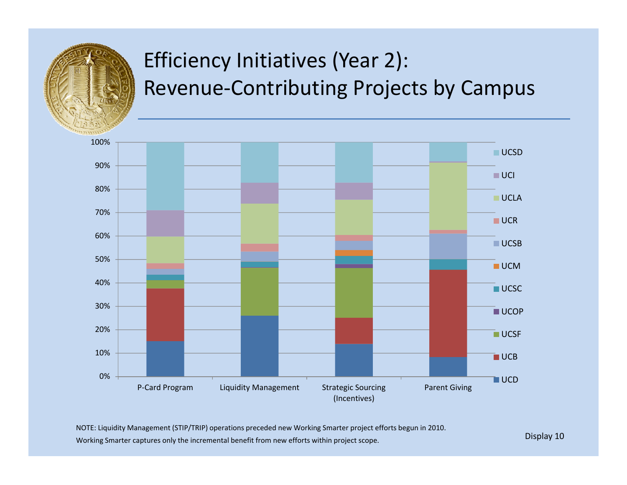

## Efficiency Initiatives (Year 2): Revenue ‐Contributing Projects by Campus



NOTE: Liquidity Management (STIP/TRIP) operations preceded new Working Smarter project efforts begun in 2010.

Working Smarter captures only the incremental benefit from new efforts within project scope.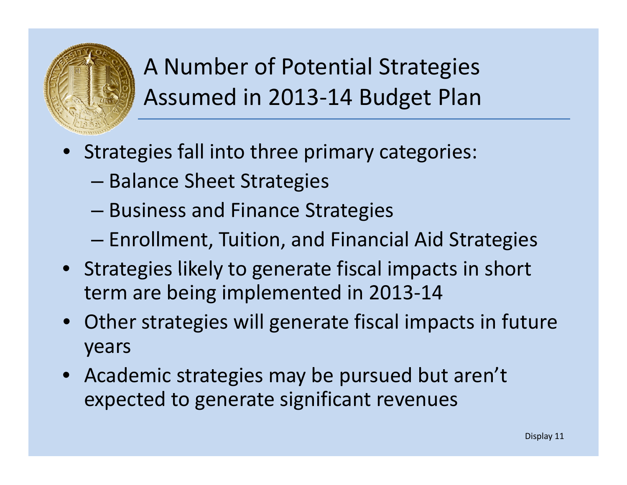

A Number of Potential Strategies Assumed in 2013-14 Budget Plan

- • Strategies fall into three primary categories:
	- –– Balance Sheet Strategies
	- –Business and Finance Strategies
	- –Enrollment, Tuition, and Financial Aid Strategies
- Strategies likely to generate fiscal impacts in short term are being implemented in 2013‐14
- Other strategies will generate fiscal impacts in future years
- Academic strategies may be pursued but aren't expected to generate significant revenues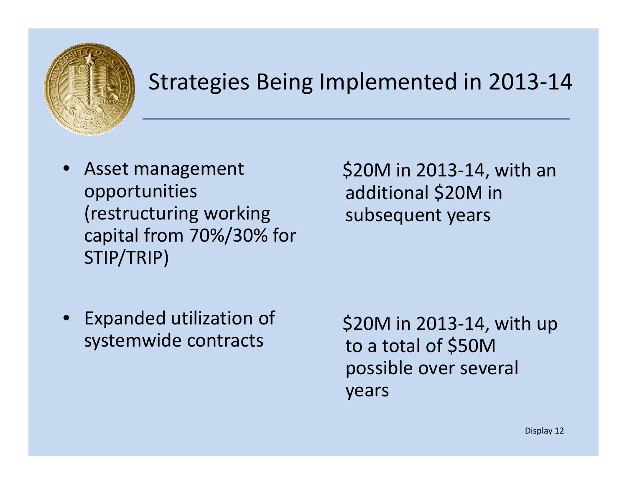

### Strategies Being Implemented in 2013‐14

 $\bullet$  Asset management opportunities (restructuring working capital from 70%/30% for STIP/TRIP)

\$20M in 2013‐14, with an additional \$20M in g subsequent years

• Expanded utilization of systemwide contracts to to

\$20M in 2013‐14, with up to a total of \$50M possible over several years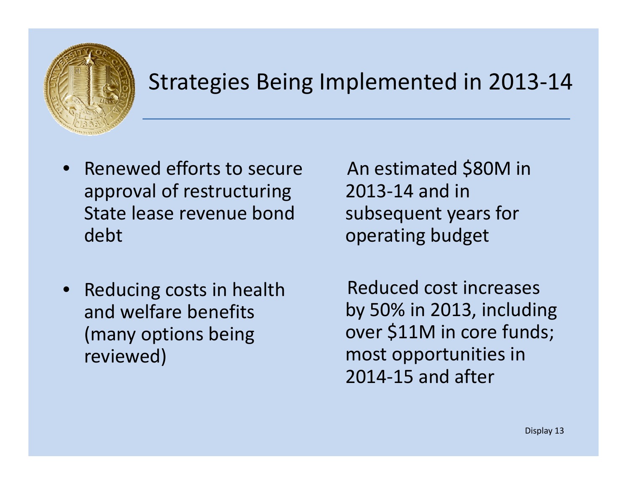

### Strategies Being Implemented in 2013‐14

- $\bullet$ • Renewed efforts to secure approval of restructuring State lease revenue bonddebt
- • Reducing costs in health and welfare benefits (many options being reviewed)

An estimated \$80M in 2013‐14 and in subsequent years for operating budget

Reduced cost increases by 50% in 2013, including over \$11M in core funds; most opportunities in 2014‐15 and after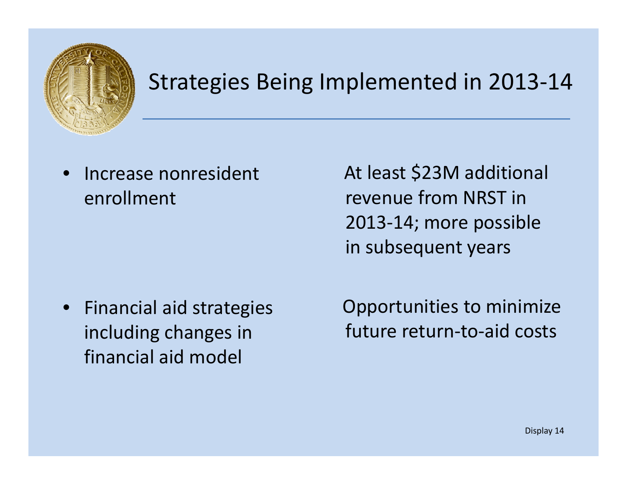

### Strategies Being Implemented in 2013‐14

•• Increase nonresident enrollment

At least \$23M additional revenue from NRST in 2013‐14; more possible in subsequent years

• Financial aid strategies including changes in financial aid model

Opportunities to minimize future return‐to‐aid costs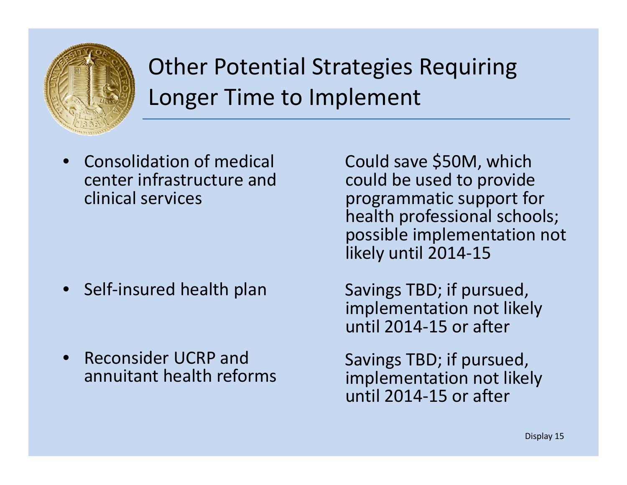

## Other Potential Strategies Requiring Longer Time to Implement

•**•** Consolidation of medical center infrastructure andclinical services

- Self‐insured
- •• Reconsider UCRP and annuitant health

Could save \$50M, which could be used to provide programmatic support for health professional schools; possible implementation not likely until 2014‐15

Savings TBD; if pursued, implementation not likely until 2014‐15 or after

Savings TBD; if pursued,<br>implementation not likely until 2014‐15 or after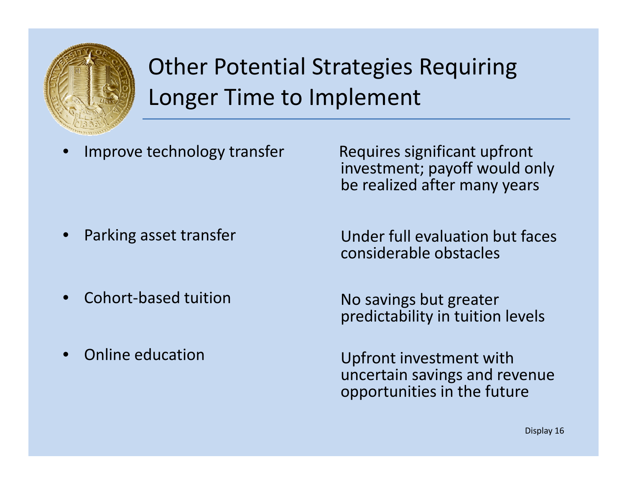

## Other Potential Strategies Requiring Longer Time to Implement

•Improve technology transfer Requires significant upfront

investment; payoff would only be realized after many years

- •
- •● Cohort-based tuition No
- •• Online education

Parking asset transfer **Under full evaluation but faces** considerable obstacles

> No savings but greater predictability in tuition levels

 Upfront investment with uncertain savings and revenue opportunities in the future

Display 16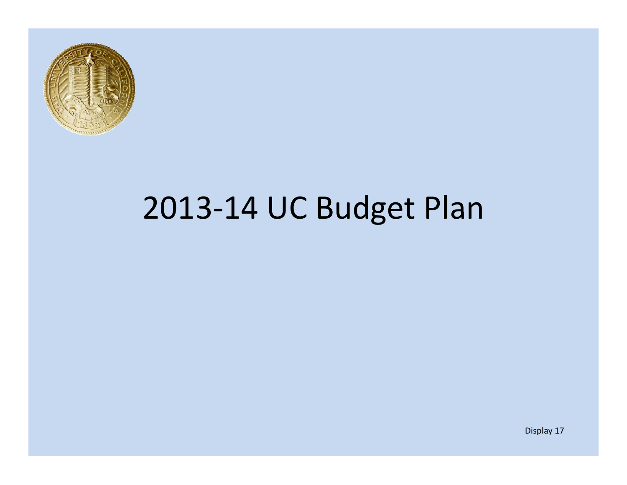

# 2013‐14 UC Budget Plan

Display 17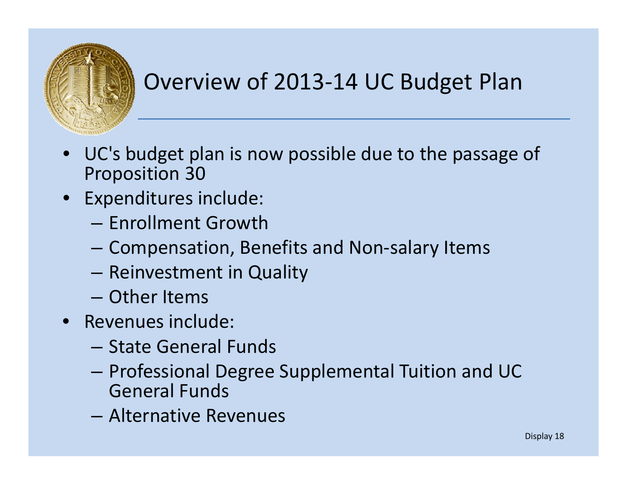![](_page_17_Picture_0.jpeg)

## Overview of 2013‐14 UC Budget Plan

- $\bullet$  UC's budget plan is now possible due to the passage of Proposition 30
- Expenditures include:
	- Enrollment Growth
	- –Compensation, Benefits and Non‐salary Items
	- – $-$  Reinvestment in Quality
	- Other Items
- Revenues include:
	- State General Funds
	- – Professional Degree Supplemental Tuition and UC General Funds
	- Alternative Revenues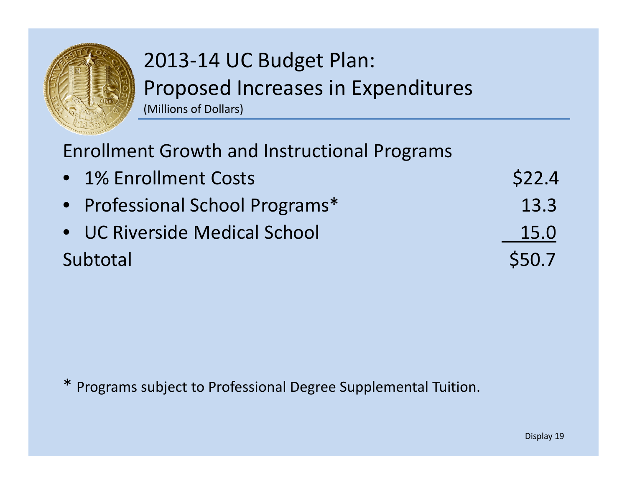![](_page_18_Picture_0.jpeg)

Enrollment Growth and Instructional Programs

| • 1% Enrollment Costs           | \$22.4 |
|---------------------------------|--------|
| • Professional School Programs* | 13.3   |
| • UC Riverside Medical School   | 15.0   |
| Subtotal                        | \$50.7 |

\* Programs subject to Professional Degree Supplemental Tuition.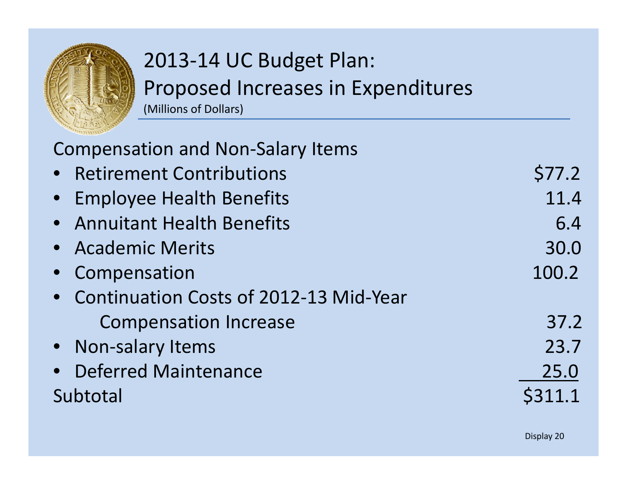![](_page_19_Picture_0.jpeg)

| <b>Compensation and Non-Salary Items</b> |        |
|------------------------------------------|--------|
| • Retirement Contributions               | \$77.2 |
| • Employee Health Benefits               | 11.4   |
| • Annuitant Health Benefits              | 6.4    |
| • Academic Merits                        | 30.0   |
| • Compensation                           | 100.2  |
| • Continuation Costs of 2012-13 Mid-Year |        |
| <b>Compensation Increase</b>             | 37.2   |
| • Non-salary Items                       | 23.7   |
| • Deferred Maintenance                   | 25.0   |
| Subtotal                                 |        |
|                                          |        |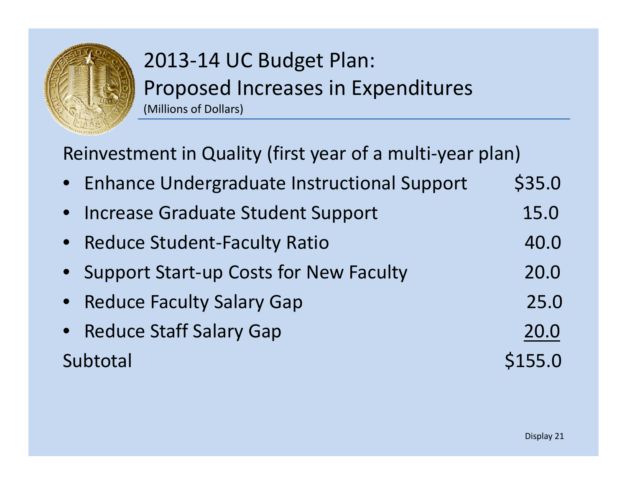![](_page_20_Picture_0.jpeg)

Reinvestment in Quality (first year of <sup>a</sup> multi‐year plan)

- •• Enhance Undergraduate Instructional Support \$35.0
- •• Increase Graduate Student Support 15.0
- •● Reduce Student-Faculty Ratio 40.0
- •Support Start-up Costs for New Faculty 20.0
- $\bullet$ • Reduce Faculty Salary Gap 25.0
- $\bullet$ • Reduce Staff Salary Gap 20.0 Subtotal\$155.0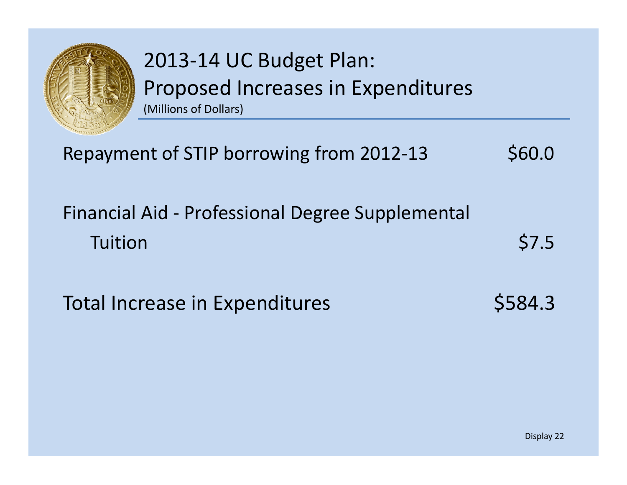![](_page_21_Picture_0.jpeg)

| Repayment of STIP borrowing from 2012-13 | \$60.0 |
|------------------------------------------|--------|
|                                          |        |

#### Financial Aid ‐ Professional Degree Supplemental Tuitionn \$7.5

Total Increase in Expenditures  $$584.3$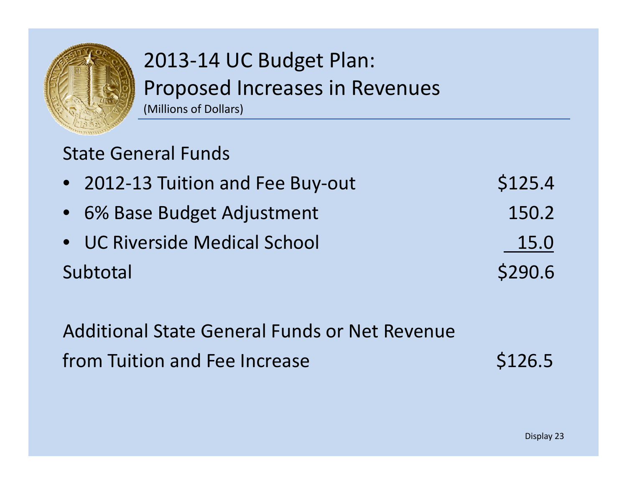![](_page_22_Picture_0.jpeg)

#### State General Funds

| • 2012-13 Tuition and Fee Buy-out | \$125.4 |
|-----------------------------------|---------|
| • 6% Base Budget Adjustment       | 150.2   |
| • UC Riverside Medical School     | 15.0    |

Subtotal\$290.6

Additional State General Funds or Net Revenue from Tuition and Fee Increase **\$126.5**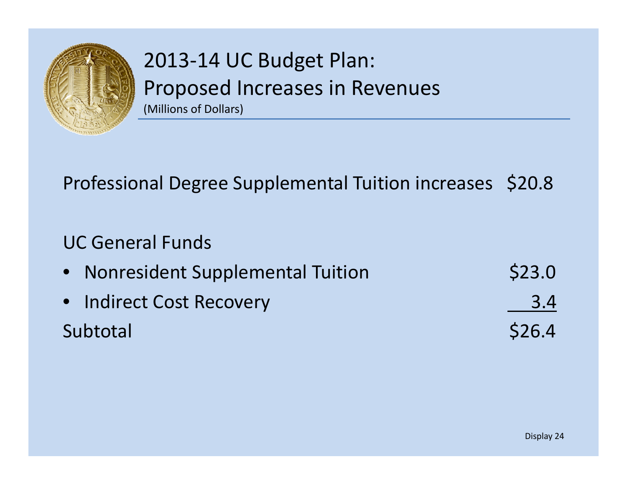![](_page_23_Picture_0.jpeg)

#### Professional Degree Supplemental Tuition increases \$20.8

#### UC General Funds

| • Nonresident Supplemental Tuition | \$23.0 |
|------------------------------------|--------|
| • Indirect Cost Recovery           | 3.4    |
| Subtotal                           | \$26.4 |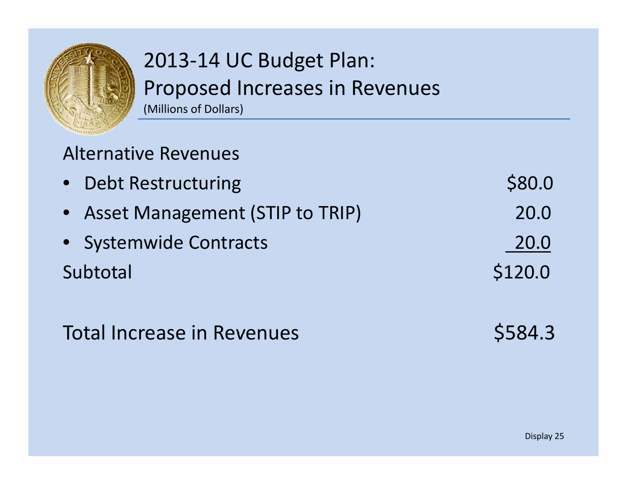![](_page_24_Picture_0.jpeg)

#### Alternative Revenues

| • Debt Restructuring              | \$80.0  |
|-----------------------------------|---------|
| • Asset Management (STIP to TRIP) | 20.0    |
| • Systemwide Contracts            | 20.0    |
| Subtotal                          | \$120.0 |

### Total Increase in Revenues **\$584.3**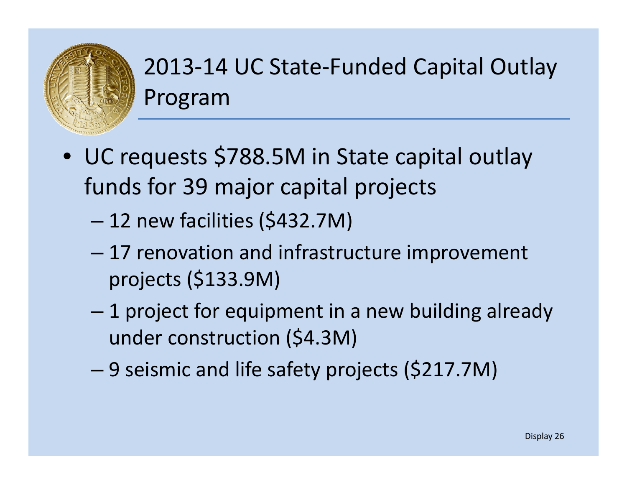![](_page_25_Picture_0.jpeg)

## 2013‐14 UC State‐Funded Capital Outlay Program

- UC requests \$788.5M in State capital outlay funds for 39 major capital projects
	- 12 new facilities (\$432.7M)
	- – 17 renovation and infrastructure improvement projects  $($133.9M)$
	- 1 project for equipment in <sup>a</sup> new building already under construction (\$4.3M)
	- –9 seismic and life safety projects (\$217.7M)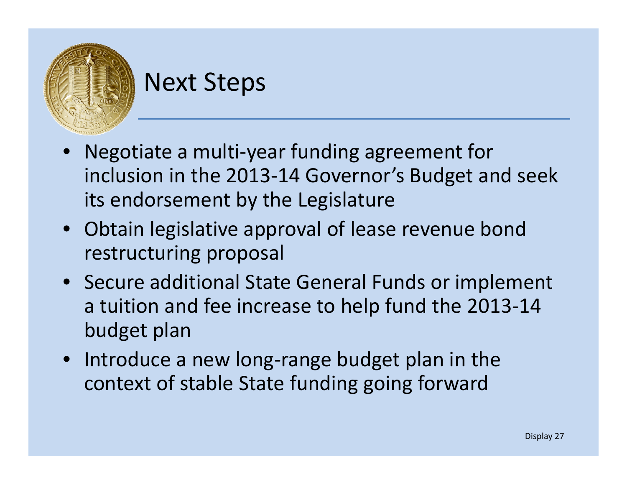![](_page_26_Picture_0.jpeg)

## Next Steps

- • Negotiate <sup>a</sup> multi‐year funding agreement for inclusion in the 2013‐14 Governor's Budget and seek its endorsement by the Legislature
- Obtain legislative approval of lease revenue bond restructuring proposal
- Secure additional State General Funds or implement a tuition and fee increase to help fund the 2013‐14 budget plan
- Introduce a new long‐range budget plan in the context of stable State funding going forward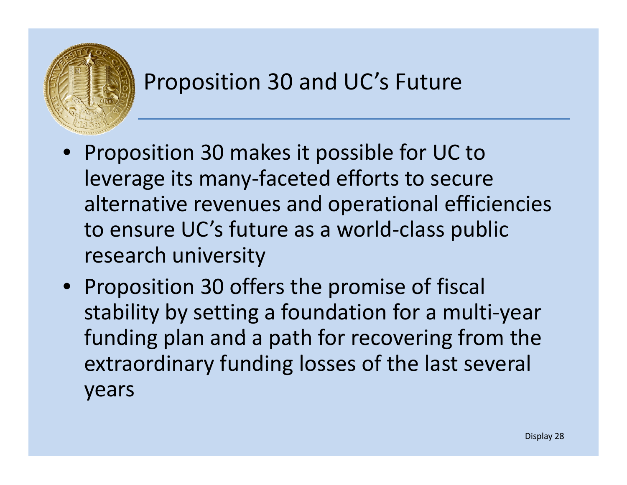![](_page_27_Picture_0.jpeg)

- $\bullet$  Proposition 30 makes it possible for UC to leverage its many‐faceted efforts to secure alternative revenues and operational efficiencies to ensure UC's future as <sup>a</sup> world‐class public research university
- Proposition 30 offers the promise of fiscal stability by setting <sup>a</sup> foundation for <sup>a</sup> multi‐year funding plan and a path for recovering from the extraordinary funding losses of the last several years